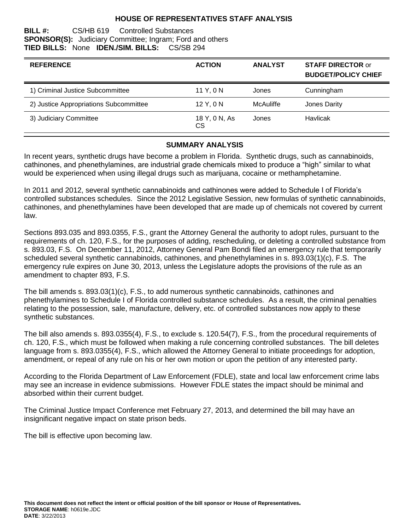## **HOUSE OF REPRESENTATIVES STAFF ANALYSIS**

#### **BILL #:** CS/HB 619 Controlled Substances **SPONSOR(S):** Judiciary Committee; Ingram; Ford and others **TIED BILLS:** None **IDEN./SIM. BILLS:** CS/SB 294

| <b>REFERENCE</b>                       | <b>ACTION</b>       | <b>ANALYST</b> | <b>STAFF DIRECTOR or</b><br><b>BUDGET/POLICY CHIEF</b> |
|----------------------------------------|---------------------|----------------|--------------------------------------------------------|
| 1) Criminal Justice Subcommittee       | 11 Y, 0 N           | Jones          | Cunningham                                             |
| 2) Justice Appropriations Subcommittee | 12 Y, 0 N           | McAuliffe      | Jones Darity                                           |
| 3) Judiciary Committee                 | 18 Y, 0 N, As<br>CS | Jones          | Havlicak                                               |

### **SUMMARY ANALYSIS**

In recent years, synthetic drugs have become a problem in Florida. Synthetic drugs, such as cannabinoids, cathinones, and phenethylamines, are industrial grade chemicals mixed to produce a "high" similar to what would be experienced when using illegal drugs such as marijuana, cocaine or methamphetamine.

In 2011 and 2012, several synthetic cannabinoids and cathinones were added to Schedule I of Florida's controlled substances schedules. Since the 2012 Legislative Session, new formulas of synthetic cannabinoids, cathinones, and phenethylamines have been developed that are made up of chemicals not covered by current law.

Sections 893.035 and 893.0355, F.S., grant the Attorney General the authority to adopt rules, pursuant to the requirements of ch. 120, F.S., for the purposes of adding, rescheduling, or deleting a controlled substance from s. 893.03, F.S. On December 11, 2012, Attorney General Pam Bondi filed an emergency rule that temporarily scheduled several synthetic cannabinoids, cathinones, and phenethylamines in s. 893.03(1)(c), F.S. The emergency rule expires on June 30, 2013, unless the Legislature adopts the provisions of the rule as an amendment to chapter 893, F.S.

The bill amends s. 893.03(1)(c), F.S., to add numerous synthetic cannabinoids, cathinones and phenethylamines to Schedule I of Florida controlled substance schedules. As a result, the criminal penalties relating to the possession, sale, manufacture, delivery, etc. of controlled substances now apply to these synthetic substances.

The bill also amends s. 893.0355(4), F.S., to exclude s. 120.54(7), F.S., from the procedural requirements of ch. 120, F.S., which must be followed when making a rule concerning controlled substances. The bill deletes language from s. 893.0355(4), F.S., which allowed the Attorney General to initiate proceedings for adoption, amendment, or repeal of any rule on his or her own motion or upon the petition of any interested party.

According to the Florida Department of Law Enforcement (FDLE), state and local law enforcement crime labs may see an increase in evidence submissions. However FDLE states the impact should be minimal and absorbed within their current budget.

The Criminal Justice Impact Conference met February 27, 2013, and determined the bill may have an insignificant negative impact on state prison beds.

The bill is effective upon becoming law.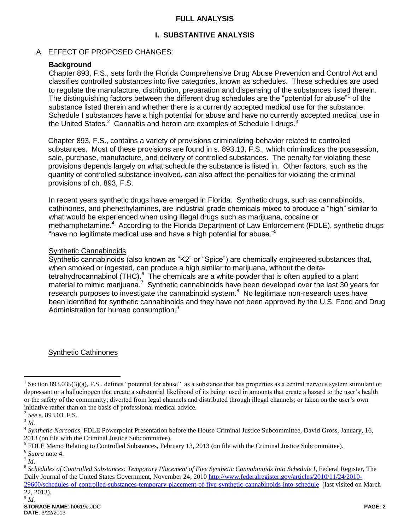### **FULL ANALYSIS**

# **I. SUBSTANTIVE ANALYSIS**

## A. EFFECT OF PROPOSED CHANGES:

## **Background**

Chapter 893, F.S., sets forth the Florida Comprehensive Drug Abuse Prevention and Control Act and classifies controlled substances into five categories, known as schedules. These schedules are used to regulate the manufacture, distribution, preparation and dispensing of the substances listed therein. The distinguishing factors between the different drug schedules are the "potential for abuse"<sup>1</sup> of the substance listed therein and whether there is a currently accepted medical use for the substance. Schedule I substances have a high potential for abuse and have no currently accepted medical use in the United States. $2$  Cannabis and heroin are examples of Schedule I drugs.<sup>3</sup>

Chapter 893, F.S., contains a variety of provisions criminalizing behavior related to controlled substances. Most of these provisions are found in s. 893.13, F.S., which criminalizes the possession, sale, purchase, manufacture, and delivery of controlled substances. The penalty for violating these provisions depends largely on what schedule the substance is listed in. Other factors, such as the quantity of controlled substance involved, can also affect the penalties for violating the criminal provisions of ch. 893, F.S.

In recent years synthetic drugs have emerged in Florida. Synthetic drugs, such as cannabinoids, cathinones, and phenethylamines, are industrial grade chemicals mixed to produce a "high" similar to what would be experienced when using illegal drugs such as marijuana, cocaine or methamphetamine.<sup>4</sup> According to the Florida Department of Law Enforcement (FDLE), synthetic drugs "have no legitimate medical use and have a high potential for abuse."<sup>5</sup>

### Synthetic Cannabinoids

Synthetic cannabinoids (also known as "K2" or "Spice") are chemically engineered substances that, when smoked or ingested, can produce a high similar to marijuana, without the deltatetrahydrocannabinol (THC).<sup>6</sup> The chemicals are a white powder that is often applied to a plant material to mimic marijuana.<sup>7</sup> Synthetic cannabinoids have been developed over the last 30 years for research purposes to investigate the cannabinoid system. $8\,$  No legitimate non-research uses have been identified for synthetic cannabinoids and they have not been approved by the U.S. Food and Drug Administration for human consumption.<sup>9</sup>

### Synthetic Cathinones

 $\overline{a}$ 

<sup>&</sup>lt;sup>1</sup> Section 893.035(3)(a), F.S., defines "potential for abuse" as a substance that has properties as a central nervous system stimulant or depressant or a hallucinogen that create a substantial likelihood of its being: used in amounts that create a hazard to the user's health or the safety of the community; diverted from legal channels and distributed through illegal channels; or taken on the user's own initiative rather than on the basis of professional medical advice.

<sup>2</sup> *See* s. 893.03, F.S.

<sup>3</sup> *Id.*

<sup>4</sup> *Synthetic Narcotics*, FDLE Powerpoint Presentation before the House Criminal Justice Subcommittee, David Gross, January, 16, 2013 (on file with the Criminal Justice Subcommittee).

 $<sup>5</sup>$  FDLE Memo Relating to Controlled Substances, February 13, 2013 (on file with the Criminal Justice Subcommittee).</sup>

<sup>6</sup> *Supra* note 4.

<sup>7</sup> *Id*.

<sup>8</sup> *Schedules of Controlled Substances: Temporary Placement of Five Synthetic Cannabinoids Into Schedule I*, Federal Register, The Daily Journal of the United States Government, November 24, 201[0 http://www.federalregister.gov/articles/2010/11/24/2010-](http://www.federalregister.gov/articles/2010/11/24/2010-29600/schedules-of-controlled-substances-temporary-placement-of-five-synthetic-cannabinoids-into-schedule) [29600/schedules-of-controlled-substances-temporary-placement-of-five-synthetic-cannabinoids-into-schedule](http://www.federalregister.gov/articles/2010/11/24/2010-29600/schedules-of-controlled-substances-temporary-placement-of-five-synthetic-cannabinoids-into-schedule) (last visited on March

<sup>22, 2013).</sup> 9 *Id.*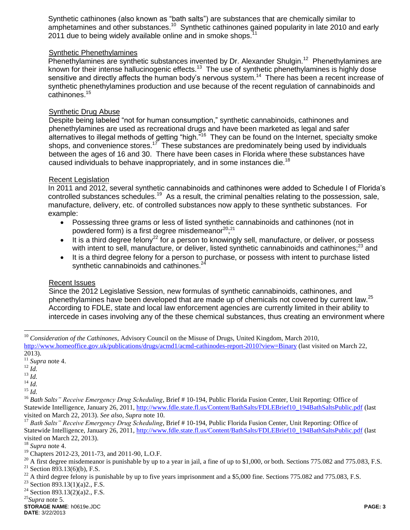Synthetic cathinones (also known as "bath salts") are substances that are chemically similar to amphetamines and other substances.<sup>10</sup> Synthetic cathinones gained popularity in late 2010 and early 2011 due to being widely available online and in smoke shops.<sup>1</sup>

## Synthetic Phenethylamines

Phenethylamines are synthetic substances invented by Dr. Alexander Shulgin.<sup>12</sup> Phenethylamines are known for their intense hallucinogenic effects.<sup>13</sup> The use of synthetic phenethylamines is highly dose sensitive and directly affects the human body's nervous system.<sup>14</sup> There has been a recent increase of synthetic phenethylamines production and use because of the recent regulation of cannabinoids and cathinones.<sup>15</sup>

#### Synthetic Drug Abuse

Despite being labeled "not for human consumption," synthetic cannabinoids, cathinones and phenethylamines are used as recreational drugs and have been marketed as legal and safer alternatives to illegal methods of getting "high."<sup>16</sup> They can be found on the Internet, specialty smoke shops, and convenience stores.<sup>17</sup> These substances are predominately being used by individuals between the ages of 16 and 30. There have been cases in Florida where these substances have caused individuals to behave inappropriately, and in some instances die.<sup>18</sup>

#### Recent Legislation

In 2011 and 2012, several synthetic cannabinoids and cathinones were added to Schedule I of Florida's controlled substances schedules.<sup>19</sup> As a result, the criminal penalties relating to the possession, sale, manufacture, delivery, etc. of controlled substances now apply to these synthetic substances. For example:

- Possessing three grams or less of listed synthetic cannabinoids and cathinones (not in powdered form) is a first degree misdemeanor<sup>20</sup>,<sup>21</sup>
- It is a third degree felony<sup>22</sup> for a person to knowingly sell, manufacture, or deliver, or possess with intent to sell, manufacture, or deliver, listed synthetic cannabinoids and cathinones;<sup>23</sup> and
- It is a third degree felony for a person to purchase, or possess with intent to purchase listed synthetic cannabinoids and cathinones.<sup>24</sup>

#### Recent Issues

Since the 2012 Legislative Session, new formulas of synthetic cannabinoids, cathinones, and phenethylamines have been developed that are made up of chemicals not covered by current law.<sup>25</sup> According to FDLE, state and local law enforcement agencies are currently limited in their ability to intercede in cases involving any of the these chemical substances, thus creating an environment where

<sup>10</sup> *Consideration of the Cathinones*, Advisory Council on the Misuse of Drugs, United Kingdom, March 2010, <http://www.homeoffice.gov.uk/publications/drugs/acmd1/acmd-cathinodes-report-2010?view=Binary> (last visited on March 22, 2013).

 $\overline{a}$ 

<sup>19</sup> Chapters 2012-23, 2011-73, and 2011-90, L.O.F.

 $20$  A first degree misdemeanor is punishable by up to a year in jail, a fine of up to \$1,000, or both. Sections 775.082 and 775.083, F.S. <sup>21</sup> Section 893.13(6)(b), F.S.

<sup>22</sup> A third degree felony is punishable by up to five years imprisonment and a \$5,000 fine. Sections 775.082 and 775.083, F.S. <sup>23</sup> Section 803 13(1)(a)? F.S.

Section 893.13(1)(a)2., F.S.

<sup>24</sup> Section 893.13(2)(a)2., F.S.

<sup>25</sup>*Supra* note 5.

**STORAGE NAME**: h0619e.JDC **PAGE: 3 DATE**: 3/22/2013

 $\frac{2012}{11}$  *Supra* note 4.

<sup>12</sup> *Id.*

<sup>13</sup> *Id.*

 $^{14}$  *Id.* 

 $^{15}$  *Id.* 

<sup>&</sup>lt;sup>16</sup> Bath Salts" Receive Emergency Drug Scheduling, Brief # 10-194, Public Florida Fusion Center, Unit Reporting: Office of Statewide Intelligence, January 26, 2011[, http://www.fdle.state.fl.us/Content/BathSalts/FDLEBrief10\\_194BathSaltsPublic.pdf](http://www.fdle.state.fl.us/Content/BathSalts/FDLEBrief10_194BathSaltsPublic.pdf) (last visited on March 22, 2013). *See also, Supra* note 10.

<sup>17</sup> *Bath Salts" Receive Emergency Drug Scheduling*, Brief # 10-194, Public Florida Fusion Center, Unit Reporting: Office of Statewide Intelligence, January 26, 2011[, http://www.fdle.state.fl.us/Content/BathSalts/FDLEBrief10\\_194BathSaltsPublic.pdf](http://www.fdle.state.fl.us/Content/BathSalts/FDLEBrief10_194BathSaltsPublic.pdf) (last visited on March 22, 2013).

<sup>18</sup> *Supra* note 4.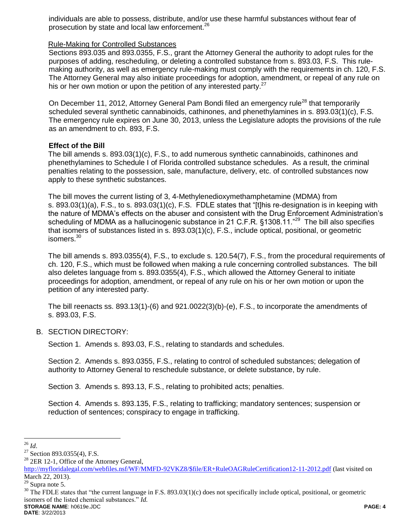individuals are able to possess, distribute, and/or use these harmful substances without fear of prosecution by state and local law enforcement.<sup>26</sup>

#### Rule-Making for Controlled Substances

Sections 893.035 and 893.0355, F.S., grant the Attorney General the authority to adopt rules for the purposes of adding, rescheduling, or deleting a controlled substance from s. 893.03, F.S. This rulemaking authority, as well as emergency rule-making must comply with the requirements in ch. 120, F.S. The Attorney General may also initiate proceedings for adoption, amendment, or repeal of any rule on his or her own motion or upon the petition of any interested party. $27$ 

On December 11, 2012, Attorney General Pam Bondi filed an emergency rule<sup>28</sup> that temporarily scheduled several synthetic cannabinoids, cathinones, and phenethylamines in s. 893.03(1)(c), F.S. The emergency rule expires on June 30, 2013, unless the Legislature adopts the provisions of the rule as an amendment to ch. 893, F.S.

#### **Effect of the Bill**

The bill amends s. 893.03(1)(c), F.S., to add numerous synthetic cannabinoids, cathinones and phenethylamines to Schedule I of Florida controlled substance schedules. As a result, the criminal penalties relating to the possession, sale, manufacture, delivery, etc. of controlled substances now apply to these synthetic substances.

The bill moves the current listing of 3, 4-Methylenedioxymethamphetamine (MDMA) from s. 893.03(1)(a), F.S., to s. 893.03(1)(c), F.S. FDLE states that "[t]his re-designation is in keeping with the nature of MDMA's effects on the abuser and consistent with the Drug Enforcement Administration's scheduling of MDMA as a hallucinogenic substance in 21 C.F.R. §1308.11."<sup>29</sup> The bill also specifies that isomers of substances listed in s. 893.03(1)(c), F.S., include optical, positional, or geometric isomers.<sup>30</sup>

The bill amends s. 893.0355(4), F.S., to exclude s. 120.54(7), F.S., from the procedural requirements of ch. 120, F.S., which must be followed when making a rule concerning controlled substances. The bill also deletes language from s. 893.0355(4), F.S., which allowed the Attorney General to initiate proceedings for adoption, amendment, or repeal of any rule on his or her own motion or upon the petition of any interested party.

The bill reenacts ss. 893.13(1)-(6) and 921.0022(3)(b)-(e), F.S., to incorporate the amendments of s. 893.03, F.S.

#### B. SECTION DIRECTORY:

Section 1. Amends s. 893.03, F.S., relating to standards and schedules.

Section 2. Amends s. 893.0355, F.S., relating to control of scheduled substances; delegation of authority to Attorney General to reschedule substance, or delete substance, by rule.

Section 3. Amends s. 893.13, F.S., relating to prohibited acts; penalties.

Section 4. Amends s. 893.135, F.S., relating to trafficking; mandatory sentences; suspension or reduction of sentences; conspiracy to engage in trafficking.

 $\overline{a}$ 

**DATE**: 3/22/2013

<sup>26</sup> *Id*.

<sup>&</sup>lt;sup>27</sup> Section 893.0355(4), F.S.

<sup>&</sup>lt;sup>28</sup> 2ER 12-1, Office of the Attorney General,

[http://myfloridalegal.com/webfiles.nsf/WF/MMFD-92VKZ8/\\$file/ER+RuleOAGRuleCertification12-11-2012.pdf](http://myfloridalegal.com/webfiles.nsf/WF/MMFD-92VKZ8/$file/ER+RuleOAGRuleCertification12-11-2012.pdf) (last visited on March 22, 2013).

 $29$  Supra note 5.

**STORAGE NAME**: h0619e.JDC **PAGE: 4**  $30$  The FDLE states that "the current language in F.S. 893.03(1)(c) does not specifically include optical, positional, or geometric isomers of the listed chemical substances." *Id.*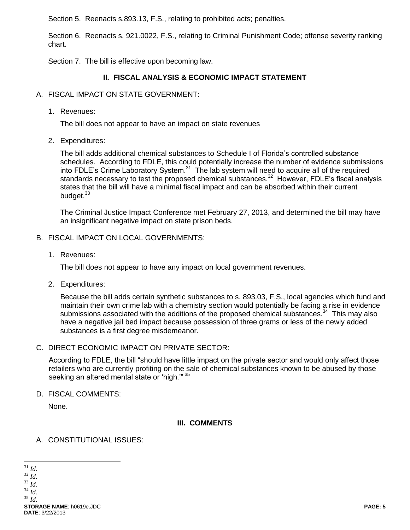Section 5. Reenacts s.893.13, F.S., relating to prohibited acts; penalties.

Section 6. Reenacts s. 921.0022, F.S., relating to Criminal Punishment Code; offense severity ranking chart.

Section 7. The bill is effective upon becoming law.

# **II. FISCAL ANALYSIS & ECONOMIC IMPACT STATEMENT**

- A. FISCAL IMPACT ON STATE GOVERNMENT:
	- 1. Revenues:

The bill does not appear to have an impact on state revenues

2. Expenditures:

The bill adds additional chemical substances to Schedule I of Florida's controlled substance schedules. According to FDLE, this could potentially increase the number of evidence submissions into FDLE's Crime Laboratory System. $31$  The lab system will need to acquire all of the required standards necessary to test the proposed chemical substances.<sup>32</sup> However, FDLE's fiscal analysis states that the bill will have a minimal fiscal impact and can be absorbed within their current budget.<sup>33</sup>

The Criminal Justice Impact Conference met February 27, 2013, and determined the bill may have an insignificant negative impact on state prison beds.

- B. FISCAL IMPACT ON LOCAL GOVERNMENTS:
	- 1. Revenues:

The bill does not appear to have any impact on local government revenues.

2. Expenditures:

Because the bill adds certain synthetic substances to s. 893.03, F.S., local agencies which fund and maintain their own crime lab with a chemistry section would potentially be facing a rise in evidence submissions associated with the additions of the proposed chemical substances.<sup>34</sup> This may also have a negative jail bed impact because possession of three grams or less of the newly added substances is a first degree misdemeanor.

C. DIRECT ECONOMIC IMPACT ON PRIVATE SECTOR:

According to FDLE, the bill "should have little impact on the private sector and would only affect those retailers who are currently profiting on the sale of chemical substances known to be abused by those seeking an altered mental state or 'high."<sup>35</sup>

D. FISCAL COMMENTS:

None.

 $\overline{a}$ 

# **III. COMMENTS**

# A. CONSTITUTIONAL ISSUES: